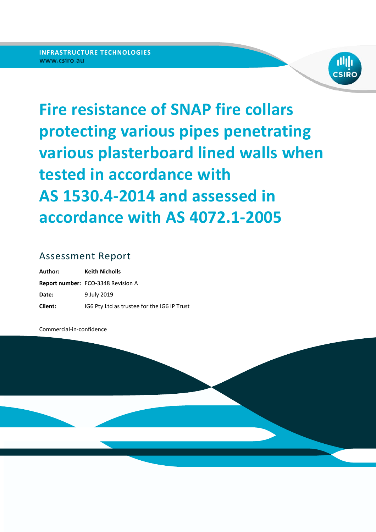

# **Fire resistance of SNAP fire collars protecting various pipes penetrating various plasterboard lined walls when tested in accordance with AS 1530.4-2014 and assessed in accordance with AS 4072.1-2005**

### Assessment Report

| Author: | <b>Keith Nicholls</b>                       |
|---------|---------------------------------------------|
|         | <b>Report number: FCO-3348 Revision A</b>   |
| Date:   | 9 July 2019                                 |
| Client: | IG6 Pty Ltd as trustee for the IG6 IP Trust |

Commercial‐in‐confidence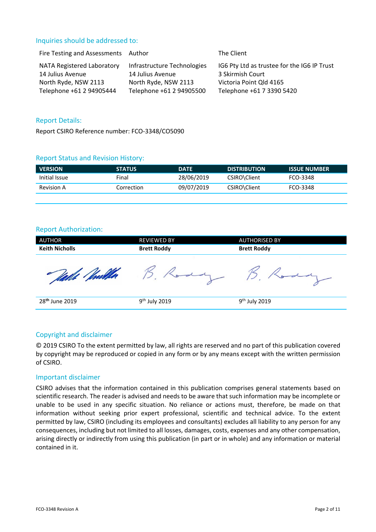#### Inquiries should be addressed to:

| Fire Testing and Assessments Author |                             | The Client                                  |
|-------------------------------------|-----------------------------|---------------------------------------------|
| NATA Registered Laboratory          | Infrastructure Technologies | IG6 Pty Ltd as trustee for the IG6 IP Trust |
| 14 Julius Avenue                    | 14 Julius Avenue            | 3 Skirmish Court                            |
| North Ryde, NSW 2113                | North Ryde, NSW 2113        | Victoria Point Qld 4165                     |
| Telephone +61 2 94905444            | Telephone +61 2 94905500    | Telephone +61 7 3390 5420                   |

#### Report Details:

Report CSIRO Reference number: FCO‐3348/CO5090

#### Report Status and Revision History:

| <b>VERSION</b>    | <b>STATUS</b> | <b>DATE</b> | <b>DISTRIBUTION</b> | <b>ISSUE NUMBER</b> |
|-------------------|---------------|-------------|---------------------|---------------------|
| Initial Issue     | Final         | 28/06/2019  | CSIRO\Client        | FCO-3348            |
| <b>Revision A</b> | Correction    | 09/07/2019  | CSIRO\Client        | FCO-3348            |
|                   |               |             |                     |                     |

#### Report Authorization:

| <b>AUTHOR</b>              | <b>REVIEWED BY</b>        | <b>AUTHORISED BY</b>      |  |
|----------------------------|---------------------------|---------------------------|--|
| <b>Keith Nicholls</b>      | <b>Brett Roddy</b>        | <b>Brett Roddy</b>        |  |
|                            |                           |                           |  |
| 28 <sup>th</sup> June 2019 | 9 <sup>th</sup> July 2019 | 9 <sup>th</sup> July 2019 |  |
|                            |                           |                           |  |

#### Copyright and disclaimer

© 2019 CSIRO To the extent permitted by law, all rights are reserved and no part of this publication covered by copyright may be reproduced or copied in any form or by any means except with the written permission of CSIRO.

#### Important disclaimer

CSIRO advises that the information contained in this publication comprises general statements based on scientific research. The reader is advised and needs to be aware that such information may be incomplete or unable to be used in any specific situation. No reliance or actions must, therefore, be made on that information without seeking prior expert professional, scientific and technical advice. To the extent permitted by law, CSIRO (including its employees and consultants) excludes all liability to any person for any consequences, including but not limited to all losses, damages, costs, expenses and any other compensation, arising directly or indirectly from using this publication (in part or in whole) and any information or material contained in it.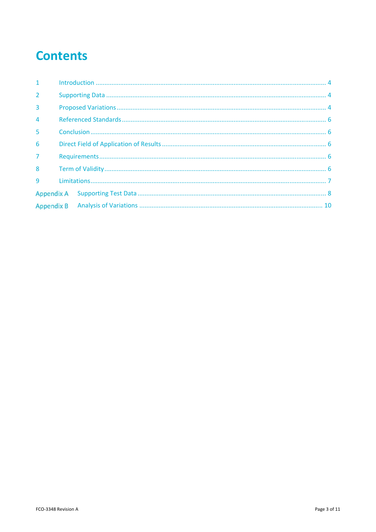## **Contents**

| 1              |  |  |  |
|----------------|--|--|--|
| $\overline{2}$ |  |  |  |
| $\overline{3}$ |  |  |  |
| $\overline{4}$ |  |  |  |
| 5              |  |  |  |
| 6              |  |  |  |
| $\overline{7}$ |  |  |  |
| 8              |  |  |  |
| 9              |  |  |  |
|                |  |  |  |
|                |  |  |  |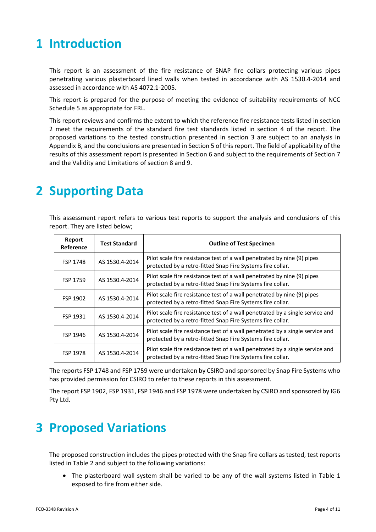## **1 Introduction**

This report is an assessment of the fire resistance of SNAP fire collars protecting various pipes penetrating various plasterboard lined walls when tested in accordance with AS 1530.4-2014 and assessed in accordance with AS 4072.1‐2005.

This report is prepared for the purpose of meeting the evidence of suitability requirements of NCC Schedule 5 as appropriate for FRL.

This report reviews and confirms the extent to which the reference fire resistance tests listed in section 2 meet the requirements of the standard fire test standards listed in section 4 of the report. The proposed variations to the tested construction presented in section 3 are subject to an analysis in Appendix B, and the conclusions are presented in Section 5 of this report. The field of applicability of the results of this assessment report is presented in Section 6 and subject to the requirements of Section 7 and the Validity and Limitations of section 8 and 9.

## **2 Supporting Data**

This assessment report refers to various test reports to support the analysis and conclusions of this report. They are listed below;

| Report<br>Reference | <b>Test Standard</b> | <b>Outline of Test Specimen</b>                                                                                                             |  |  |
|---------------------|----------------------|---------------------------------------------------------------------------------------------------------------------------------------------|--|--|
| FSP 1748            | AS 1530.4-2014       | Pilot scale fire resistance test of a wall penetrated by nine (9) pipes<br>protected by a retro-fitted Snap Fire Systems fire collar.       |  |  |
| FSP 1759            | AS 1530.4-2014       | Pilot scale fire resistance test of a wall penetrated by nine (9) pipes<br>protected by a retro-fitted Snap Fire Systems fire collar.       |  |  |
| FSP 1902            | AS 1530.4-2014       | Pilot scale fire resistance test of a wall penetrated by nine (9) pipes<br>protected by a retro-fitted Snap Fire Systems fire collar.       |  |  |
| FSP 1931            | AS 1530.4-2014       | Pilot scale fire resistance test of a wall penetrated by a single service and<br>protected by a retro-fitted Snap Fire Systems fire collar. |  |  |
| FSP 1946            | AS 1530.4-2014       | Pilot scale fire resistance test of a wall penetrated by a single service and<br>protected by a retro-fitted Snap Fire Systems fire collar. |  |  |
| <b>FSP 1978</b>     | AS 1530.4-2014       | Pilot scale fire resistance test of a wall penetrated by a single service and<br>protected by a retro-fitted Snap Fire Systems fire collar. |  |  |

The reports FSP 1748 and FSP 1759 were undertaken by CSIRO and sponsored by Snap Fire Systems who has provided permission for CSIRO to refer to these reports in this assessment.

The report FSP 1902, FSP 1931, FSP 1946 and FSP 1978 were undertaken by CSIRO and sponsored by IG6 Pty Ltd.

### **3 Proposed Variations**

The proposed construction includes the pipes protected with the Snap fire collars as tested, test reports listed in Table 2 and subject to the following variations:

• The plasterboard wall system shall be varied to be any of the wall systems listed in Table 1 exposed to fire from either side.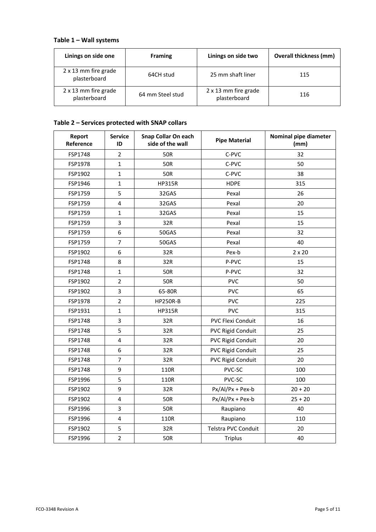### **Table 1 – Wall systems**

| Linings on side one                  | <b>Framing</b>   | Linings on side two                  | <b>Overall thickness (mm)</b> |
|--------------------------------------|------------------|--------------------------------------|-------------------------------|
| 2 x 13 mm fire grade<br>plasterboard | 64CH stud        | 25 mm shaft liner                    | 115                           |
| 2 x 13 mm fire grade<br>plasterboard | 64 mm Steel stud | 2 x 13 mm fire grade<br>plasterboard | 116                           |

### **Table 2 – Services protected with SNAP collars**

| Report<br>Reference | <b>Service</b><br>ID    | Snap Collar On each<br>side of the wall | <b>Pipe Material</b>     | Nominal pipe diameter<br>(mm) |
|---------------------|-------------------------|-----------------------------------------|--------------------------|-------------------------------|
| FSP1748             | $\overline{2}$          | <b>50R</b>                              | C-PVC                    | 32                            |
| FSP1978             | $\mathbf{1}$            | <b>50R</b>                              | C-PVC                    | 50                            |
| FSP1902             | $\mathbf 1$             | <b>50R</b>                              | C-PVC                    | 38                            |
| FSP1946             | $\mathbf{1}$            | <b>HP315R</b>                           | <b>HDPE</b>              | 315                           |
| FSP1759             | 5                       | 32GAS                                   | Pexal                    | 26                            |
| FSP1759             | $\overline{\mathbf{4}}$ | 32GAS                                   | Pexal                    | 20                            |
| FSP1759             | $\mathbf{1}$            | 32GAS                                   | Pexal                    | 15                            |
| FSP1759             | 3                       | 32R                                     | Pexal                    | 15                            |
| FSP1759             | 6                       | 50GAS                                   | Pexal                    | 32                            |
| FSP1759             | $\overline{7}$          | 50GAS                                   | Pexal                    | 40                            |
| FSP1902             | 6                       | 32R                                     | Pex-b                    | $2 \times 20$                 |
| FSP1748             | 8                       | 32R                                     | P-PVC                    | 15                            |
| FSP1748             | $\mathbf{1}$            | 50R                                     | P-PVC                    | 32                            |
| FSP1902             | $\overline{2}$          | <b>50R</b>                              | <b>PVC</b>               | 50                            |
| FSP1902             | 3                       | 65-80R                                  | <b>PVC</b>               | 65                            |
| FSP1978             | $\overline{2}$          | <b>HP250R-B</b>                         | <b>PVC</b>               | 225                           |
| FSP1931             | $\mathbf{1}$            | <b>HP315R</b>                           | <b>PVC</b>               | 315                           |
| FSP1748             | 3                       | 32R                                     | PVC Flexi Conduit        | 16                            |
| FSP1748             | 5                       | 32R                                     | PVC Rigid Conduit        | 25                            |
| FSP1748             | $\overline{\mathbf{4}}$ | 32R                                     | <b>PVC Rigid Conduit</b> | 20                            |
| FSP1748             | 6                       | 32R                                     | <b>PVC Rigid Conduit</b> | 25                            |
| FSP1748             | $\overline{7}$          | 32R                                     | <b>PVC Rigid Conduit</b> | 20                            |
| FSP1748             | 9                       | 110R                                    | PVC-SC                   | 100                           |
| FSP1996             | 5                       | 110R                                    | PVC-SC                   | 100                           |
| FSP1902             | 9                       | 32R                                     | Px/Al/Px + Pex-b         | $20 + 20$                     |
| FSP1902             | 4                       | <b>50R</b>                              | Px/Al/Px + Pex-b         | $25 + 20$                     |
| FSP1996             | 3                       | <b>50R</b>                              | Raupiano                 | 40                            |
| FSP1996             | 4                       | 110R                                    | Raupiano                 | 110                           |
| FSP1902             | 5                       | 32R                                     | Telstra PVC Conduit      | 20                            |
| FSP1996             | $\overline{2}$          | <b>50R</b>                              | <b>Triplus</b>           | 40                            |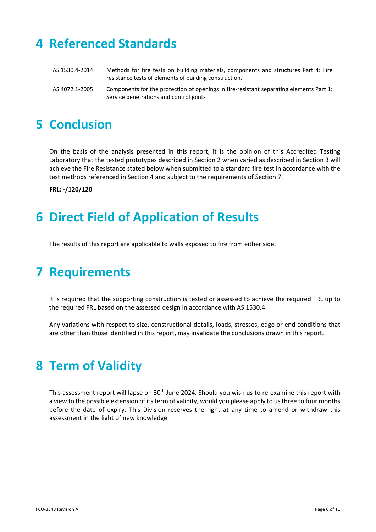## **4 Referenced Standards**

| AS 1530.4-2014 | Methods for fire tests on building materials, components and structures Part 4: Fire<br>resistance tests of elements of building construction. |
|----------------|------------------------------------------------------------------------------------------------------------------------------------------------|
| AS 4072.1-2005 | Components for the protection of openings in fire-resistant separating elements Part 1:<br>Service penetrations and control joints             |

## **5 Conclusion**

On the basis of the analysis presented in this report, it is the opinion of this Accredited Testing Laboratory that the tested prototypes described in Section 2 when varied as described in Section 3 will achieve the Fire Resistance stated below when submitted to a standard fire test in accordance with the test methods referenced in Section 4 and subject to the requirements of Section 7.

**FRL: -/120/120** 

## **6 Direct Field of Application of Results**

The results of this report are applicable to walls exposed to fire from either side.

## **7 Requirements**

It is required that the supporting construction is tested or assessed to achieve the required FRL up to the required FRL based on the assessed design in accordance with AS 1530.4.

Any variations with respect to size, constructional details, loads, stresses, edge or end conditions that are other than those identified in this report, may invalidate the conclusions drawn in this report.

## **8 Term of Validity**

This assessment report will lapse on 30<sup>th</sup> June 2024. Should you wish us to re-examine this report with a view to the possible extension of its term of validity, would you please apply to us three to four months before the date of expiry. This Division reserves the right at any time to amend or withdraw this assessment in the light of new knowledge.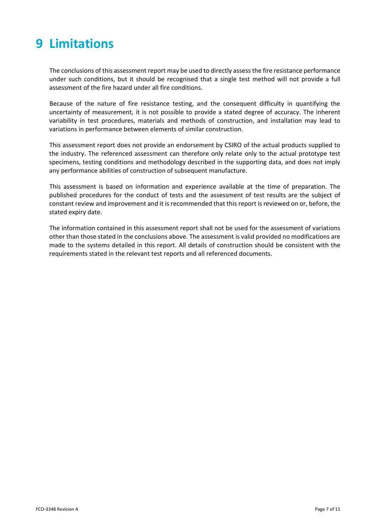## **9 Limitations**

The conclusions of this assessment report may be used to directly assess the fire resistance performance under such conditions, but it should be recognised that a single test method will not provide a full assessment of the fire hazard under all fire conditions.

Because of the nature of fire resistance testing, and the consequent difficulty in quantifying the uncertainty of measurement, it is not possible to provide a stated degree of accuracy. The inherent variability in test procedures, materials and methods of construction, and installation may lead to variations in performance between elements of similar construction.

This assessment report does not provide an endorsement by CSIRO of the actual products supplied to the industry. The referenced assessment can therefore only relate only to the actual prototype test specimens, testing conditions and methodology described in the supporting data, and does not imply any performance abilities of construction of subsequent manufacture.

This assessment is based on information and experience available at the time of preparation. The published procedures for the conduct of tests and the assessment of test results are the subject of constant review and improvement and it is recommended that this report is reviewed on or, before, the stated expiry date.

The information contained in this assessment report shall not be used for the assessment of variations other than those stated in the conclusions above. The assessment is valid provided no modifications are made to the systems detailed in this report. All details of construction should be consistent with the requirements stated in the relevant test reports and all referenced documents.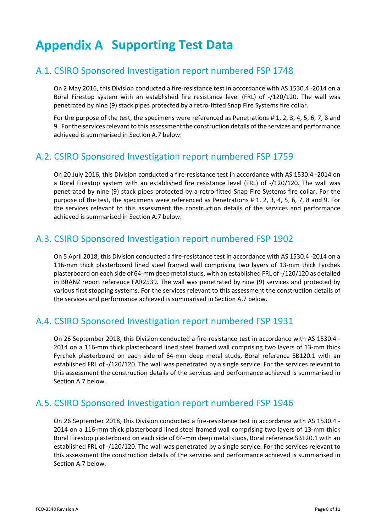## **Appendix A Supporting Test Data**

### A.1. CSIRO Sponsored Investigation report numbered FSP 1748

On 2 May 2016, this Division conducted a fire‐resistance test in accordance with AS 1530.4 ‐2014 on a Boral Firestop system with an established fire resistance level (FRL) of ‐/120/120. The wall was penetrated by nine (9) stack pipes protected by a retro‐fitted Snap Fire Systems fire collar.

For the purpose of the test, the specimens were referenced as Penetrations # 1, 2, 3, 4, 5, 6, 7, 8 and 9. For the services relevant to this assessment the construction details of the services and performance achieved is summarised in Section A.7 below.

### A.2. CSIRO Sponsored Investigation report numbered FSP 1759

On 20 July 2016, this Division conducted a fire-resistance test in accordance with AS 1530.4 -2014 on a Boral Firestop system with an established fire resistance level (FRL) of -/120/120. The wall was penetrated by nine (9) stack pipes protected by a retro-fitted Snap Fire Systems fire collar. For the purpose of the test, the specimens were referenced as Penetrations # 1, 2, 3, 4, 5, 6, 7, 8 and 9. For the services relevant to this assessment the construction details of the services and performance achieved is summarised in Section A.7 below.

### A.3. CSIRO Sponsored Investigation report numbered FSP 1902

On 5 April 2018, this Division conducted a fire‐resistance test in accordance with AS 1530.4 ‐2014 on a 116‐mm thick plasterboard lined steel framed wall comprising two layers of 13‐mm thick Fyrchek plasterboard on each side of 64‐mm deep metal studs, with an established FRL of ‐/120/120 as detailed in BRANZ report reference FAR2539. The wall was penetrated by nine (9) services and protected by various first stopping systems. For the services relevant to this assessment the construction details of the services and performance achieved is summarised in Section A.7 below.

### A.4. CSIRO Sponsored Investigation report numbered FSP 1931

On 26 September 2018, this Division conducted a fire-resistance test in accordance with AS 1530.4 -2014 on a 116‐mm thick plasterboard lined steel framed wall comprising two layers of 13‐mm thick Fyrchek plasterboard on each side of 64-mm deep metal studs, Boral reference SB120.1 with an established FRL of ‐/120/120. The wall was penetrated by a single service. For the services relevant to this assessment the construction details of the services and performance achieved is summarised in Section A.7 below.

### A.5. CSIRO Sponsored Investigation report numbered FSP 1946

On 26 September 2018, this Division conducted a fire-resistance test in accordance with AS 1530.4 -2014 on a 116‐mm thick plasterboard lined steel framed wall comprising two layers of 13‐mm thick Boral Firestop plasterboard on each side of 64‐mm deep metal studs, Boral reference SB120.1 with an established FRL of ‐/120/120. The wall was penetrated by a single service. For the services relevant to this assessment the construction details of the services and performance achieved is summarised in Section A.7 below.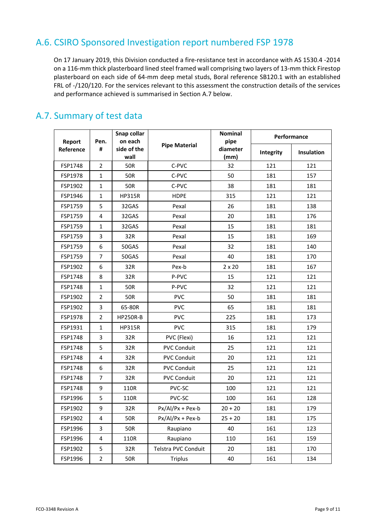### A.6. CSIRO Sponsored Investigation report numbered FSP 1978

On 17 January 2019, this Division conducted a fire‐resistance test in accordance with AS 1530.4 ‐2014 on a 116-mm thick plasterboard lined steel framed wall comprising two layers of 13-mm thick Firestop plasterboard on each side of 64‐mm deep metal studs, Boral reference SB120.1 with an established FRL of -/120/120. For the services relevant to this assessment the construction details of the services and performance achieved is summarised in Section A.7 below.

| Report    | Pen.                    | Snap collar<br>on each | <b>Pipe Material</b> | <b>Nominal</b><br>pipe | Performance      |           |
|-----------|-------------------------|------------------------|----------------------|------------------------|------------------|-----------|
| Reference | #                       | side of the<br>wall    |                      |                        | diameter<br>(mm) | Integrity |
| FSP1748   | $\overline{2}$          | 50R                    | C-PVC                | 32                     | 121              | 121       |
| FSP1978   | $\mathbf{1}$            | 50R                    | C-PVC                | 50                     | 181              | 157       |
| FSP1902   | $\mathbf{1}$            | 50R                    | C-PVC                | 38                     | 181              | 181       |
| FSP1946   | $\mathbf{1}$            | <b>HP315R</b>          | <b>HDPE</b>          | 315                    | 121              | 121       |
| FSP1759   | 5                       | 32GAS                  | Pexal                | 26                     | 181              | 138       |
| FSP1759   | 4                       | 32GAS                  | Pexal                | 20                     | 181              | 176       |
| FSP1759   | $\mathbf{1}$            | 32GAS                  | Pexal                | 15                     | 181              | 181       |
| FSP1759   | 3                       | 32R                    | Pexal                | 15                     | 181              | 169       |
| FSP1759   | 6                       | 50GAS                  | Pexal                | 32                     | 181              | 140       |
| FSP1759   | $\overline{7}$          | 50GAS                  | Pexal                | 40                     | 181              | 170       |
| FSP1902   | 6                       | 32R                    | Pex-b                | $2 \times 20$          | 181              | 167       |
| FSP1748   | 8                       | 32R                    | P-PVC                | 15                     | 121              | 121       |
| FSP1748   | $\mathbf{1}$            | 50R                    | P-PVC                | 32                     | 121              | 121       |
| FSP1902   | $\overline{2}$          | 50R                    | <b>PVC</b>           | 50                     | 181              | 181       |
| FSP1902   | 3                       | 65-80R                 | <b>PVC</b>           | 65                     | 181              | 181       |
| FSP1978   | $\overline{2}$          | <b>HP250R-B</b>        | <b>PVC</b>           | 225                    | 181              | 173       |
| FSP1931   | $\mathbf{1}$            | <b>HP315R</b>          | <b>PVC</b>           | 315                    | 181              | 179       |
| FSP1748   | 3                       | 32R                    | PVC (Flexi)          | 16                     | 121              | 121       |
| FSP1748   | 5                       | 32R                    | <b>PVC Conduit</b>   | 25                     | 121              | 121       |
| FSP1748   | 4                       | 32R                    | <b>PVC Conduit</b>   | 20                     | 121              | 121       |
| FSP1748   | 6                       | 32R                    | <b>PVC Conduit</b>   | 25                     | 121              | 121       |
| FSP1748   | $\overline{7}$          | 32R                    | <b>PVC Conduit</b>   | 20                     | 121              | 121       |
| FSP1748   | 9                       | 110R                   | PVC-SC               | 100                    | 121              | 121       |
| FSP1996   | 5                       | 110R                   | <b>PVC-SC</b>        | 100                    | 161              | 128       |
| FSP1902   | 9                       | 32R                    | $Px/AI/Px + Pex-b$   | $20 + 20$              | 181              | 179       |
| FSP1902   | $\overline{\mathbf{4}}$ | <b>50R</b>             | $Px/AI/Px + Pex-b$   | $25 + 20$              | 181              | 175       |
| FSP1996   | 3                       | 50R                    | Raupiano             | 40                     | 161              | 123       |
| FSP1996   | $\overline{\mathbf{4}}$ | 110R                   | Raupiano             | 110                    | 161              | 159       |
| FSP1902   | 5                       | 32R                    | Telstra PVC Conduit  | 20                     | 181              | 170       |
| FSP1996   | $\overline{2}$          | 50R                    | <b>Triplus</b>       | 40                     | 161              | 134       |

### A.7. Summary of test data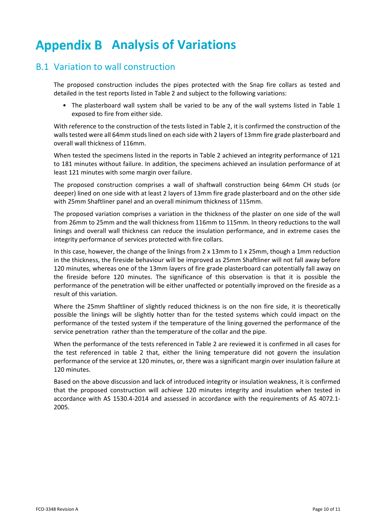## **Appendix B Analysis of Variations**

### B.1 Variation to wall construction

The proposed construction includes the pipes protected with the Snap fire collars as tested and detailed in the test reports listed in Table 2 and subject to the following variations:

• The plasterboard wall system shall be varied to be any of the wall systems listed in Table 1 exposed to fire from either side.

With reference to the construction of the tests listed in Table 2, it is confirmed the construction of the walls tested were all 64mm studs lined on each side with 2 layers of 13mm fire grade plasterboard and overall wall thickness of 116mm.

When tested the specimens listed in the reports in Table 2 achieved an integrity performance of 121 to 181 minutes without failure. In addition, the specimens achieved an insulation performance of at least 121 minutes with some margin over failure.

The proposed construction comprises a wall of shaftwall construction being 64mm CH studs (or deeper) lined on one side with at least 2 layers of 13mm fire grade plasterboard and on the other side with 25mm Shaftliner panel and an overall minimum thickness of 115mm.

The proposed variation comprises a variation in the thickness of the plaster on one side of the wall from 26mm to 25mm and the wall thickness from 116mm to 115mm. In theory reductions to the wall linings and overall wall thickness can reduce the insulation performance, and in extreme cases the integrity performance of services protected with fire collars.

In this case, however, the change of the linings from  $2 \times 13$ mm to  $1 \times 25$ mm, though a 1mm reduction in the thickness, the fireside behaviour will be improved as 25mm Shaftliner will not fall away before 120 minutes, whereas one of the 13mm layers of fire grade plasterboard can potentially fall away on the fireside before 120 minutes. The significance of this observation is that it is possible the performance of the penetration will be either unaffected or potentially improved on the fireside as a result of this variation.

Where the 25mm Shaftliner of slightly reduced thickness is on the non fire side, it is theoretically possible the linings will be slightly hotter than for the tested systems which could impact on the performance of the tested system if the temperature of the lining governed the performance of the service penetration rather than the temperature of the collar and the pipe.

When the performance of the tests referenced in Table 2 are reviewed it is confirmed in all cases for the test referenced in table 2 that, either the lining temperature did not govern the insulation performance of the service at 120 minutes, or, there was a significant margin over insulation failure at 120 minutes.

Based on the above discussion and lack of introduced integrity or insulation weakness, it is confirmed that the proposed construction will achieve 120 minutes integrity and insulation when tested in accordance with AS 1530.4‐2014 and assessed in accordance with the requirements of AS 4072.1‐ 2005.